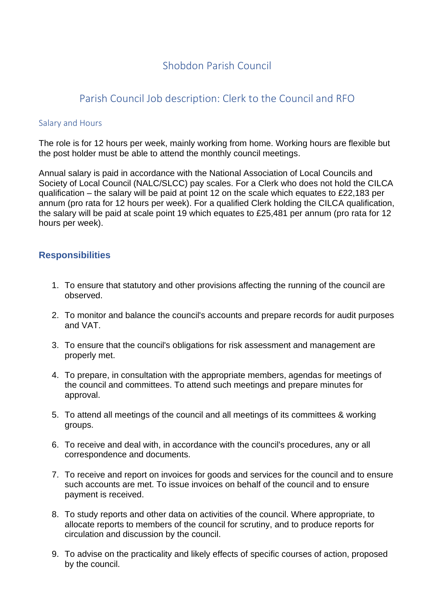## Shobdon Parish Council

## Parish Council Job description: Clerk to the Council and RFO

#### Salary and Hours

The role is for 12 hours per week, mainly working from home. Working hours are flexible but the post holder must be able to attend the monthly council meetings.

Annual salary is paid in accordance with the National Association of Local Councils and Society of Local Council (NALC/SLCC) pay scales. For a Clerk who does not hold the CILCA qualification – the salary will be paid at point 12 on the scale which equates to £22,183 per annum (pro rata for 12 hours per week). For a qualified Clerk holding the CILCA qualification, the salary will be paid at scale point 19 which equates to £25,481 per annum (pro rata for 12 hours per week).

### **Responsibilities**

- 1. To ensure that statutory and other provisions affecting the running of the council are observed.
- 2. To monitor and balance the council's accounts and prepare records for audit purposes and VAT.
- 3. To ensure that the council's obligations for risk assessment and management are properly met.
- 4. To prepare, in consultation with the appropriate members, agendas for meetings of the council and committees. To attend such meetings and prepare minutes for approval.
- 5. To attend all meetings of the council and all meetings of its committees & working groups.
- 6. To receive and deal with, in accordance with the council's procedures, any or all correspondence and documents.
- 7. To receive and report on invoices for goods and services for the council and to ensure such accounts are met. To issue invoices on behalf of the council and to ensure payment is received.
- 8. To study reports and other data on activities of the council. Where appropriate, to allocate reports to members of the council for scrutiny, and to produce reports for circulation and discussion by the council.
- 9. To advise on the practicality and likely effects of specific courses of action, proposed by the council.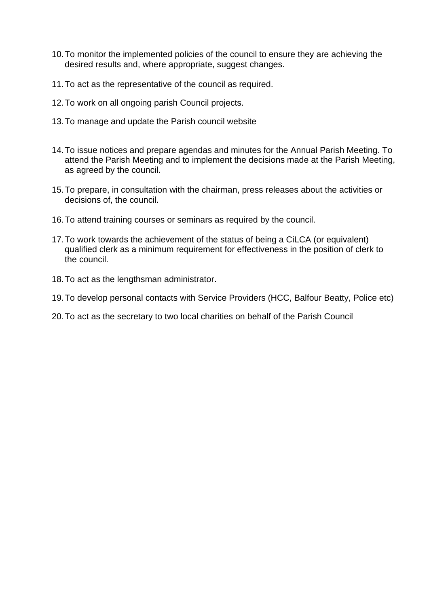- 10.To monitor the implemented policies of the council to ensure they are achieving the desired results and, where appropriate, suggest changes.
- 11.To act as the representative of the council as required.
- 12.To work on all ongoing parish Council projects.
- 13.To manage and update the Parish council website
- 14.To issue notices and prepare agendas and minutes for the Annual Parish Meeting. To attend the Parish Meeting and to implement the decisions made at the Parish Meeting, as agreed by the council.
- 15.To prepare, in consultation with the chairman, press releases about the activities or decisions of, the council.
- 16.To attend training courses or seminars as required by the council.
- 17.To work towards the achievement of the status of being a CiLCA (or equivalent) qualified clerk as a minimum requirement for effectiveness in the position of clerk to the council.
- 18.To act as the lengthsman administrator.
- 19.To develop personal contacts with Service Providers (HCC, Balfour Beatty, Police etc)
- 20.To act as the secretary to two local charities on behalf of the Parish Council